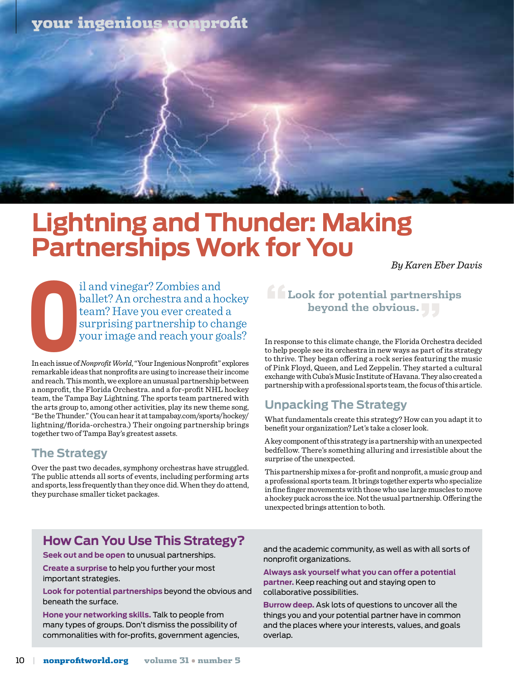## your ingenious nonprofit

## **Lightning and Thunder: Making Partnerships Work for You**

*By Karen Eber Davis* 

**C**<br>In each issue of il and vinegar? Zombies and ballet? An orchestra and a hockey team? Have you ever created a surprising partnership to change your image and reach your goals?

In each issue of *Nonprofit World*, "Your Ingenious Nonprofit" explores remarkable ideas that nonprofits are using to increase their income and reach. This month, we explore an unusual partnership between a nonprofit, the Florida Orchestra. and a for-profit NHL hockey team, the Tampa Bay Lightning. The sports team partnered with the arts group to, among other activities, play its new theme song, "Be the Thunder." (You can hear it at tampabay.com/sports/hockey/ lightning/florida-orchestra.) Their ongoing partnership brings together two of Tampa Bay's greatest assets.

#### **The Strategy**

Over the past two decades, symphony orchestras have struggled. The public attends all sorts of events, including performing arts and sports, less frequently than they once did. When they do attend, they purchase smaller ticket packages.

## **"Look for potential partnerships beyond the obvious."**

In response to this climate change, the Florida Orchestra decided to help people see its orchestra in new ways as part of its strategy to thrive. They began offering a rock series featuring the music of Pink Floyd, Queen, and Led Zeppelin. They started a cultural exchange with Cuba's Music Institute of Havana. They also created a partnership with a professional sports team, the focus of this article.

## **Unpacking The Strategy**

What fundamentals create this strategy? How can you adapt it to benefit your organization? Let's take a closer look.

A key component of this strategy is a partnership with an unexpected bedfellow. There's something alluring and irresistible about the surprise of the unexpected.

This partnership mixes a for-profit and nonprofit, a music group and a professional sports team. It brings together experts who specialize in fine finger movements with those who use large muscles to move a hockey puck across the ice. Not the usual partnership. Offering the unexpected brings attention to both.

## **How Can You Use This Strategy?**

**Seek out and be open** to unusual partnerships.

**Create a surprise** to help you further your most important strategies.

**Look for potential partnerships** beyond the obvious and beneath the surface.

**Hone your networking skills.** Talk to people from many types of groups. Don't dismiss the possibility of commonalities with for-profits, government agencies, and the academic community, as well as with all sorts of nonprofit organizations.

**Always ask yourself what you can offer a potential partner.** Keep reaching out and staying open to collaborative possibilities.

**Burrow deep.** Ask lots of questions to uncover all the things you and your potential partner have in common and the places where your interests, values, and goals overlap.